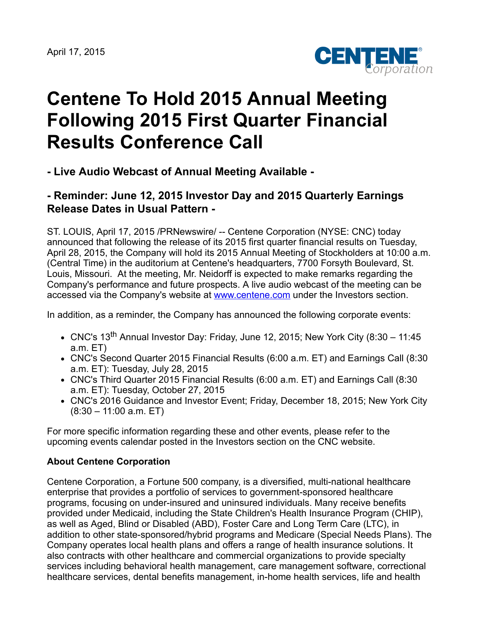

## **Centene To Hold 2015 Annual Meeting Following 2015 First Quarter Financial Results Conference Call**

**- Live Audio Webcast of Annual Meeting Available -**

## **- Reminder: June 12, 2015 Investor Day and 2015 Quarterly Earnings Release Dates in Usual Pattern -**

ST. LOUIS, April 17, 2015 /PRNewswire/ -- Centene Corporation (NYSE: CNC) today announced that following the release of its 2015 first quarter financial results on Tuesday, April 28, 2015, the Company will hold its 2015 Annual Meeting of Stockholders at 10:00 a.m. (Central Time) in the auditorium at Centene's headquarters, 7700 Forsyth Boulevard, St. Louis, Missouri. At the meeting, Mr. Neidorff is expected to make remarks regarding the Company's performance and future prospects. A live audio webcast of the meeting can be accessed via the Company's website at [www.centene.com](http://www.centene.com/) under the Investors section.

In addition, as a reminder, the Company has announced the following corporate events:

- CNC's 13<sup>th</sup> Annual Investor Day: Friday, June 12, 2015; New York City (8:30 11:45 a.m. ET)
- CNC's Second Quarter 2015 Financial Results (6:00 a.m. ET) and Earnings Call (8:30 a.m. ET): Tuesday, July 28, 2015
- CNC's Third Quarter 2015 Financial Results (6:00 a.m. ET) and Earnings Call (8:30 a.m. ET): Tuesday, October 27, 2015
- CNC's 2016 Guidance and Investor Event; Friday, December 18, 2015; New York City (8:30 – 11:00 a.m. ET)

For more specific information regarding these and other events, please refer to the upcoming events calendar posted in the Investors section on the CNC website.

## **About Centene Corporation**

Centene Corporation, a Fortune 500 company, is a diversified, multi-national healthcare enterprise that provides a portfolio of services to government-sponsored healthcare programs, focusing on under-insured and uninsured individuals. Many receive benefits provided under Medicaid, including the State Children's Health Insurance Program (CHIP), as well as Aged, Blind or Disabled (ABD), Foster Care and Long Term Care (LTC), in addition to other state-sponsored/hybrid programs and Medicare (Special Needs Plans). The Company operates local health plans and offers a range of health insurance solutions. It also contracts with other healthcare and commercial organizations to provide specialty services including behavioral health management, care management software, correctional healthcare services, dental benefits management, in-home health services, life and health